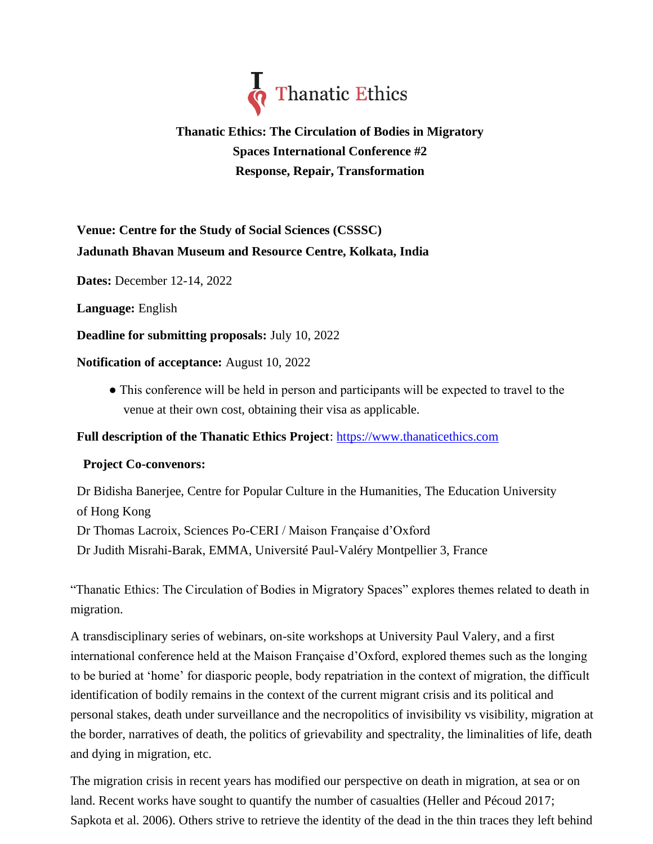

# **Thanatic Ethics: The Circulation of Bodies in Migratory Spaces International Conference #2 Response, Repair, Transformation**

# **Venue: Centre for the Study of Social Sciences (CSSSC) Jadunath Bhavan Museum and Resource Centre, Kolkata, India**

**Dates:** December 12-14, 2022

**Language:** English

**Deadline for submitting proposals:** July 10, 2022

#### **Notification of acceptance:** August 10, 2022

● This conference will be held in person and participants will be expected to travel to the venue at their own cost, obtaining their visa as applicable.

## **Full description of the Thanatic Ethics Project**: [https://www.thanaticethics.com](https://www.thanaticethics.com/)

## **Project Co-convenors:**

Dr Bidisha Banerjee, Centre for Popular Culture in the Humanities, The Education University of Hong Kong Dr Thomas Lacroix, Sciences Po-CERI / Maison Française d'Oxford Dr Judith Misrahi-Barak, EMMA, Université Paul-Valéry Montpellier 3, France

"Thanatic Ethics: The Circulation of Bodies in Migratory Spaces" explores themes related to death in migration.

A transdisciplinary series of webinars, on-site workshops at University Paul Valery, and a first international conference held at the Maison Française d'Oxford, explored themes such as the longing to be buried at 'home' for diasporic people, body repatriation in the context of migration, the difficult identification of bodily remains in the context of the current migrant crisis and its political and personal stakes, death under surveillance and the necropolitics of invisibility vs visibility, migration at the border, narratives of death, the politics of grievability and spectrality, the liminalities of life, death and dying in migration, etc.

The migration crisis in recent years has modified our perspective on death in migration, at sea or on land. Recent works have sought to quantify the number of casualties (Heller and Pécoud 2017; Sapkota et al. 2006). Others strive to retrieve the identity of the dead in the thin traces they left behind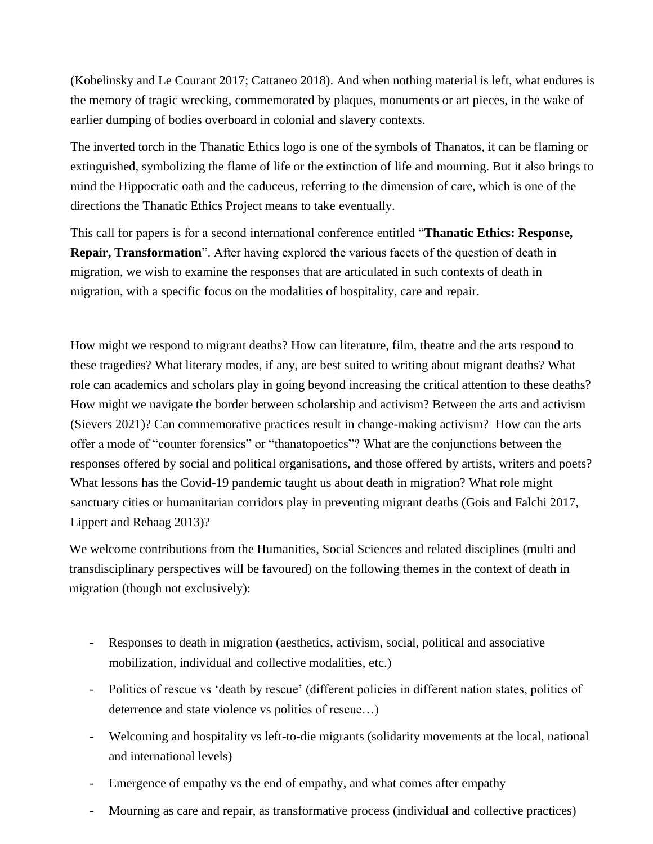(Kobelinsky and Le Courant 2017; Cattaneo 2018). And when nothing material is left, what endures is the memory of tragic wrecking, commemorated by plaques, monuments or art pieces, in the wake of earlier dumping of bodies overboard in colonial and slavery contexts.

The inverted torch in the Thanatic Ethics logo is one of the symbols of Thanatos, it can be flaming or extinguished, symbolizing the flame of life or the extinction of life and mourning. But it also brings to mind the Hippocratic oath and the caduceus, referring to the dimension of care, which is one of the directions the Thanatic Ethics Project means to take eventually.

This call for papers is for a second international conference entitled "**Thanatic Ethics: Response, Repair, Transformation**". After having explored the various facets of the question of death in migration, we wish to examine the responses that are articulated in such contexts of death in migration, with a specific focus on the modalities of hospitality, care and repair.

How might we respond to migrant deaths? How can literature, film, theatre and the arts respond to these tragedies? What literary modes, if any, are best suited to writing about migrant deaths? What role can academics and scholars play in going beyond increasing the critical attention to these deaths? How might we navigate the border between scholarship and activism? Between the arts and activism (Sievers 2021)? Can commemorative practices result in change-making activism? How can the arts offer a mode of "counter forensics" or "thanatopoetics"? What are the conjunctions between the responses offered by social and political organisations, and those offered by artists, writers and poets? What lessons has the Covid-19 pandemic taught us about death in migration? What role might sanctuary cities or humanitarian corridors play in preventing migrant deaths (Gois and Falchi 2017, Lippert and Rehaag 2013)?

We welcome contributions from the Humanities, Social Sciences and related disciplines (multi and transdisciplinary perspectives will be favoured) on the following themes in the context of death in migration (though not exclusively):

- Responses to death in migration (aesthetics, activism, social, political and associative mobilization, individual and collective modalities, etc.)
- Politics of rescue vs 'death by rescue' (different policies in different nation states, politics of deterrence and state violence vs politics of rescue…)
- Welcoming and hospitality vs left-to-die migrants (solidarity movements at the local, national and international levels)
- Emergence of empathy vs the end of empathy, and what comes after empathy
- Mourning as care and repair, as transformative process (individual and collective practices)